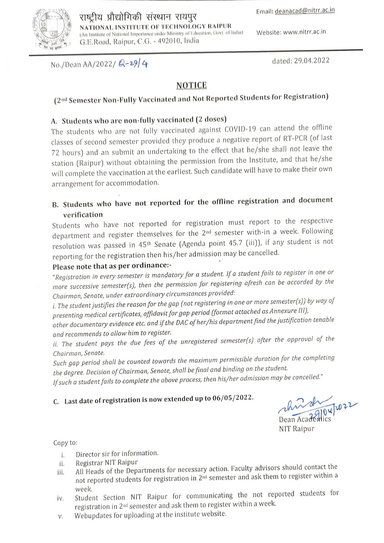Website: www.nitrr.ac.in



#### राष्ट्रीय प्रौद्योगिकी संस्थान रायपुर NATIONAL INSTITUTE OF TECHNOLOGY RAIPUR (An Institute of National Importance under Ministry of Education, Govt. of India) G.E.Road, Raipur, C.G. - 492010, India

No./Dean AA/2022/ Q-29/4

dated: 29.04.2022

### **NOTICE**

# (2nd Semester Non-Fully Vaccinated and Not Reported Students for Registration)

## A. Students who are non-fully vaccinated (2 doses)

The students who are not fully vaccinated against COVID-19 can attend the offline classes of second semester provided they produce a negative report of RT-PCR (of last 72 hours) and an submit an undertaking to the effect that he/she shall not leave the station (Raipur) without obtaining the permission from the Institute, and that he/she will complete the vaccination at the earliest. Such candidate will have to make their own arrangement for accommodation.

## B. Students who have not reported for the offline registration and document verification

Students who have not reported for registration must report to the respective department and register themselves for the 2<sup>nd</sup> semester with-in a week. Following resolution was passed in 45<sup>th</sup> Senate (Agenda point 45.7 (iii)), if any student is not reporting for the registration then his/her admission may be cancelled.

### Please note that as per ordinance:-

"Registration in every semester is mandatory for a student. If a student fails to register in one or more successive semester(s), then the permission for registering afresh can be accorded by the Chairman, Senate, under extraordinary circumstances provided:

i. The student justifies the reason for the gap (not registering in one or more semester(s)) by way of presenting medical certificates, affidavit for gap period (format attached as Annexure III),

other documentary evidence etc. and if the DAC of her/his department find the justification tenable and recommends to allow him to register.

ii. The student pays the due fees of the unregistered semester(s) after the approval of the Chairman, Senate.

Such gap period shall be counted towards the maximum permissible duration for the completing the degree. Decision of Chairman, Senate, shall be final and binding on the student.

If such a student fails to complete the above process, then his/her admission may be cancelled."

# C. Last date of registration is now extended up to 06/05/2022.

 $7041022$ Dean Acader

**NIT Raipur** 

Copy to:

- Director sir for information. i.
- Registrar NIT Raipur ii.
- All Heads of the Departments for necessary action. Faculty advisors should contact the iii. not reported students for registration in 2<sup>nd</sup> semester and ask them to register within a week.
- Student Section NIT Raipur for communicating the not reported students for iv. registration in 2<sup>nd</sup> semester and ask them to register within a week.
- Webupdates for uploading at the institute website. V.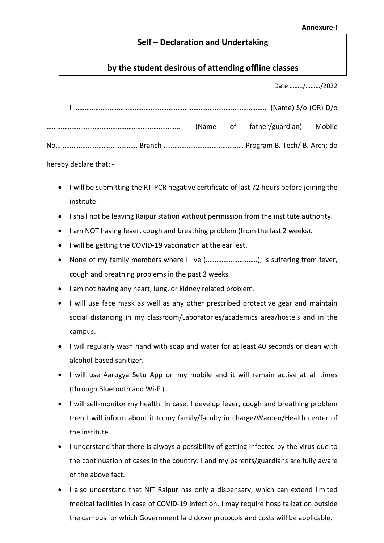### Self – Declaration and Undertaking

### by the student desirous of attending offline classes

Date ……../………/2022

|  |  | (Name of father/guardian) Mobile |  |
|--|--|----------------------------------|--|
|  |  |                                  |  |

hereby declare that: -

- I will be submitting the RT-PCR negative certificate of last 72 hours before joining the institute.
- I shall not be leaving Raipur station without permission from the institute authority.
- I am NOT having fever, cough and breathing problem (from the last 2 weeks).
- I will be getting the COVID-19 vaccination at the earliest.
- None of my family members where I live (………………………..), is suffering from fever, cough and breathing problems in the past 2 weeks.
- I am not having any heart, lung, or kidney related problem.
- I will use face mask as well as any other prescribed protective gear and maintain social distancing in my classroom/Laboratories/academics area/hostels and in the campus.
- I will regularly wash hand with soap and water for at least 40 seconds or clean with alcohol-based sanitizer.
- I will use Aarogya Setu App on my mobile and it will remain active at all times (through Bluetooth and Wi-Fi).
- I will self-monitor my health. In case, I develop fever, cough and breathing problem then I will inform about it to my family/faculty in charge/Warden/Health center of the institute.
- I understand that there is always a possibility of getting infected by the virus due to the continuation of cases in the country. I and my parents/guardians are fully aware of the above fact.
- I also understand that NIT Raipur has only a dispensary, which can extend limited medical facilities in case of COVID-19 infection, I may require hospitalization outside the campus for which Government laid down protocols and costs will be applicable.